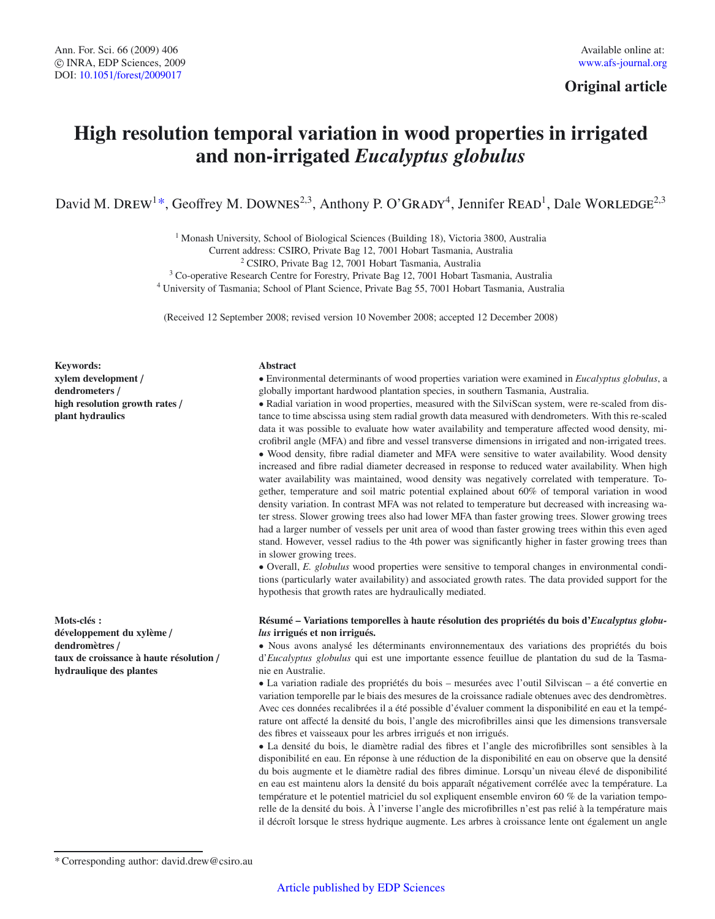## **Original article**

# **High resolution temporal variation in wood properties in irrigated and non-irrigated** *Eucalyptus globulus*

David M. DREW<sup>1\*</sup>, Geoffrey M. DOWNES<sup>2,3</sup>, Anthony P. O'GRADY<sup>4</sup>, Jennifer READ<sup>1</sup>, Dale WORLEDGE<sup>2,3</sup>

<sup>1</sup> Monash University, School of Biological Sciences (Building 18), Victoria 3800, Australia

Current address: CSIRO, Private Bag 12, 7001 Hobart Tasmania, Australia

<sup>2</sup> CSIRO, Private Bag 12, 7001 Hobart Tasmania, Australia

<sup>3</sup> Co-operative Research Centre for Forestry, Private Bag 12, 7001 Hobart Tasmania, Australia

<sup>4</sup> University of Tasmania; School of Plant Science, Private Bag 55, 7001 Hobart Tasmania, Australia

(Received 12 September 2008; revised version 10 November 2008; accepted 12 December 2008)

**Keywords: xylem development** / **dendrometers** / **high resolution growth rates** / **plant hydraulics**

**Mots-clés : développement du xylème** / **dendromètres** / **taux de croissance à haute résolution** / **hydraulique des plantes**

#### **Abstract**

• Environmental determinants of wood properties variation were examined in *Eucalyptus globulus*, a globally important hardwood plantation species, in southern Tasmania, Australia.

• Radial variation in wood properties, measured with the SilviScan system, were re-scaled from distance to time abscissa using stem radial growth data measured with dendrometers. With this re-scaled data it was possible to evaluate how water availability and temperature affected wood density, microfibril angle (MFA) and fibre and vessel transverse dimensions in irrigated and non-irrigated trees. • Wood density, fibre radial diameter and MFA were sensitive to water availability. Wood density increased and fibre radial diameter decreased in response to reduced water availability. When high water availability was maintained, wood density was negatively correlated with temperature. Together, temperature and soil matric potential explained about 60% of temporal variation in wood density variation. In contrast MFA was not related to temperature but decreased with increasing water stress. Slower growing trees also had lower MFA than faster growing trees. Slower growing trees had a larger number of vessels per unit area of wood than faster growing trees within this even aged stand. However, vessel radius to the 4th power was significantly higher in faster growing trees than in slower growing trees.

• Overall, *E. globulus* wood properties were sensitive to temporal changes in environmental conditions (particularly water availability) and associated growth rates. The data provided support for the hypothesis that growth rates are hydraulically mediated.

#### **Résumé – Variations temporelles à haute résolution des propriétés du bois d'***Eucalyptus globulus* **irrigués et non irrigués.**

• Nous avons analysé les déterminants environnementaux des variations des propriétés du bois d'*Eucalyptus globulus* qui est une importante essence feuillue de plantation du sud de la Tasmanie en Australie.

• La variation radiale des propriétés du bois – mesurées avec l'outil Silviscan – a été convertie en variation temporelle par le biais des mesures de la croissance radiale obtenues avec des dendromètres. Avec ces données recalibrées il a été possible d'évaluer comment la disponibilité en eau et la température ont affecté la densité du bois, l'angle des microfibrilles ainsi que les dimensions transversale des fibres et vaisseaux pour les arbres irrigués et non irrigués.

• La densité du bois, le diamètre radial des fibres et l'angle des microfibrilles sont sensibles à la disponibilité en eau. En réponse à une réduction de la disponibilité en eau on observe que la densité du bois augmente et le diamètre radial des fibres diminue. Lorsqu'un niveau élevé de disponibilité en eau est maintenu alors la densité du bois apparaît négativement corrélée avec la température. La température et le potentiel matriciel du sol expliquent ensemble environ 60 % de la variation temporelle de la densité du bois. À l'inverse l'angle des microfibrilles n'est pas relié à la température mais il décroît lorsque le stress hydrique augmente. Les arbres à croissance lente ont également un angle

<sup>\*</sup> Corresponding author: david.drew@csiro.au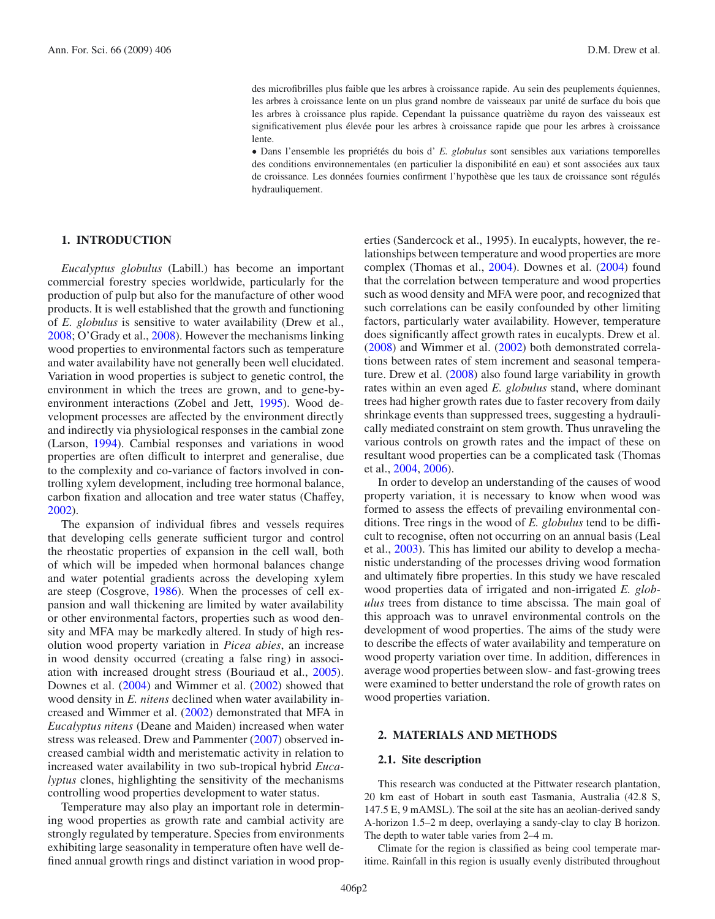des microfibrilles plus faible que les arbres à croissance rapide. Au sein des peuplements équiennes, les arbres à croissance lente on un plus grand nombre de vaisseaux par unité de surface du bois que les arbres à croissance plus rapide. Cependant la puissance quatrième du rayon des vaisseaux est significativement plus élevée pour les arbres à croissance rapide que pour les arbres à croissance lente.

• Dans l'ensemble les propriétés du bois d' *E. globulus* sont sensibles aux variations temporelles des conditions environnementales (en particulier la disponibilité en eau) et sont associées aux taux de croissance. Les données fournies confirment l'hypothèse que les taux de croissance sont régulés hydrauliquement.

## **1. INTRODUCTION**

*Eucalyptus globulus* (Labill.) has become an important commercial forestry species worldwide, particularly for the production of pulp but also for the manufacture of other wood products. It is well established that the growth and functioning of *E. globulus* is sensitive to water availability (Drew et al., [2008;](#page-8-0) O'Grady et al., [2008](#page-9-0)). However the mechanisms linking wood properties to environmental factors such as temperature and water availability have not generally been well elucidated. Variation in wood properties is subject to genetic control, the environment in which the trees are grown, and to gene-byenvironment interactions (Zobel and Jett, [1995\)](#page-9-1). Wood development processes are affected by the environment directly and indirectly via physiological responses in the cambial zone (Larson, [1994\)](#page-8-1). Cambial responses and variations in wood properties are often difficult to interpret and generalise, due to the complexity and co-variance of factors involved in controlling xylem development, including tree hormonal balance, carbon fixation and allocation and tree water status (Chaffey, [2002\)](#page-8-2).

The expansion of individual fibres and vessels requires that developing cells generate sufficient turgor and control the rheostatic properties of expansion in the cell wall, both of which will be impeded when hormonal balances change and water potential gradients across the developing xylem are steep (Cosgrove, [1986\)](#page-8-3). When the processes of cell expansion and wall thickening are limited by water availability or other environmental factors, properties such as wood density and MFA may be markedly altered. In study of high resolution wood property variation in *Picea abies*, an increase in wood density occurred (creating a false ring) in association with increased drought stress (Bouriaud et al., [2005\)](#page-8-4). Downes et al. [\(2004](#page-8-5)) and Wimmer et al. [\(2002\)](#page-9-2) showed that wood density in *E. nitens* declined when water availability increased and Wimmer et al. [\(2002\)](#page-9-3) demonstrated that MFA in *Eucalyptus nitens* (Deane and Maiden) increased when water stress was released. Drew and Pammenter [\(2007\)](#page-8-6) observed increased cambial width and meristematic activity in relation to increased water availability in two sub-tropical hybrid *Eucalyptus* clones, highlighting the sensitivity of the mechanisms controlling wood properties development to water status.

Temperature may also play an important role in determining wood properties as growth rate and cambial activity are strongly regulated by temperature. Species from environments exhibiting large seasonality in temperature often have well defined annual growth rings and distinct variation in wood properties (Sandercock et al., 1995). In eucalypts, however, the relationships between temperature and wood properties are more complex (Thomas et al., [2004\)](#page-9-4). Downes et al. [\(2004\)](#page-8-5) found that the correlation between temperature and wood properties such as wood density and MFA were poor, and recognized that such correlations can be easily confounded by other limiting factors, particularly water availability. However, temperature does significantly affect growth rates in eucalypts. Drew et al. [\(2008\)](#page-8-0) and Wimmer et al. [\(2002\)](#page-9-3) both demonstrated correlations between rates of stem increment and seasonal temperature. Drew et al. [\(2008\)](#page-8-0) also found large variability in growth rates within an even aged *E. globulus* stand, where dominant trees had higher growth rates due to faster recovery from daily shrinkage events than suppressed trees, suggesting a hydraulically mediated constraint on stem growth. Thus unraveling the various controls on growth rates and the impact of these on resultant wood properties can be a complicated task (Thomas et al., [2004,](#page-9-4) [2006\)](#page-9-5).

In order to develop an understanding of the causes of wood property variation, it is necessary to know when wood was formed to assess the effects of prevailing environmental conditions. Tree rings in the wood of *E. globulus* tend to be difficult to recognise, often not occurring on an annual basis (Leal et al., [2003\)](#page-8-7). This has limited our ability to develop a mechanistic understanding of the processes driving wood formation and ultimately fibre properties. In this study we have rescaled wood properties data of irrigated and non-irrigated *E. globulus* trees from distance to time abscissa. The main goal of this approach was to unravel environmental controls on the development of wood properties. The aims of the study were to describe the effects of water availability and temperature on wood property variation over time. In addition, differences in average wood properties between slow- and fast-growing trees were examined to better understand the role of growth rates on wood properties variation.

#### **2. MATERIALS AND METHODS**

### **2.1. Site description**

This research was conducted at the Pittwater research plantation, 20 km east of Hobart in south east Tasmania, Australia (42.8 S, 147.5 E, 9 mAMSL). The soil at the site has an aeolian-derived sandy A-horizon 1.5–2 m deep, overlaying a sandy-clay to clay B horizon. The depth to water table varies from 2–4 m.

Climate for the region is classified as being cool temperate maritime. Rainfall in this region is usually evenly distributed throughout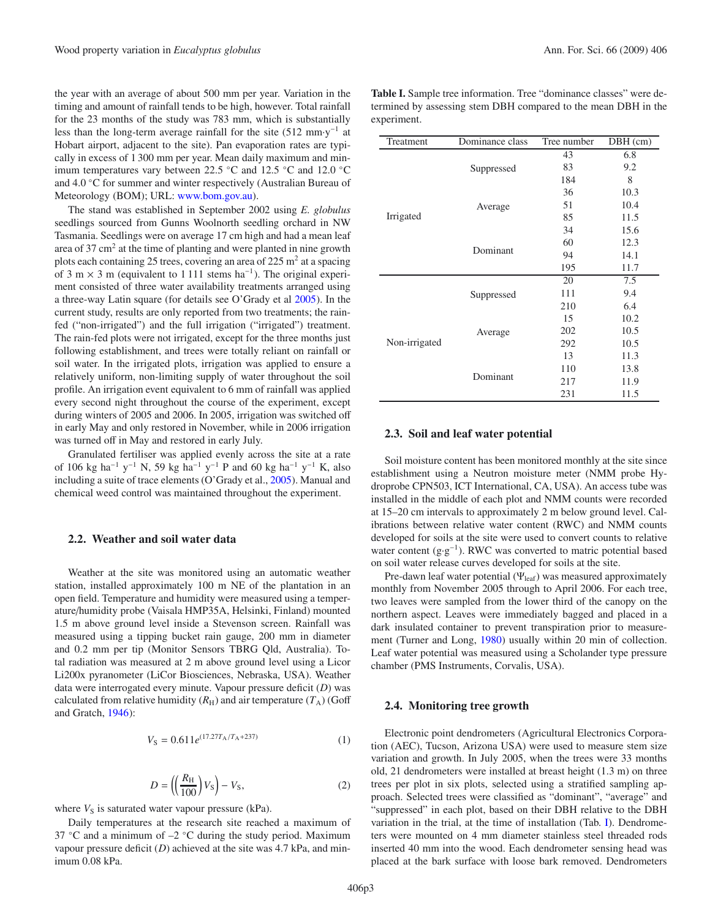the year with an average of about 500 mm per year. Variation in the timing and amount of rainfall tends to be high, however. Total rainfall for the 23 months of the study was 783 mm, which is substantially less than the long-term average rainfall for the site (512 mm·y−<sup>1</sup> at Hobart airport, adjacent to the site). Pan evaporation rates are typically in excess of 1 300 mm per year. Mean daily maximum and minimum temperatures vary between 22.5 ◦C and 12.5 ◦C and 12.0 ◦C and 4.0 ◦C for summer and winter respectively (Australian Bureau of Meteorology (BOM); URL: [www.bom.gov.au\)](www.bom.gov.au).

The stand was established in September 2002 using *E. globulus* seedlings sourced from Gunns Woolnorth seedling orchard in NW Tasmania. Seedlings were on average 17 cm high and had a mean leaf area of  $37 \text{ cm}^2$  at the time of planting and were planted in nine growth plots each containing 25 trees, covering an area of 225  $m<sup>2</sup>$  at a spacing of 3 m  $\times$  3 m (equivalent to 1 111 stems ha<sup>-1</sup>). The original experiment consisted of three water availability treatments arranged using a three-way Latin square (for details see O'Grady et al [2005](#page-9-6)). In the current study, results are only reported from two treatments; the rainfed ("non-irrigated") and the full irrigation ("irrigated") treatment. The rain-fed plots were not irrigated, except for the three months just following establishment, and trees were totally reliant on rainfall or soil water. In the irrigated plots, irrigation was applied to ensure a relatively uniform, non-limiting supply of water throughout the soil profile. An irrigation event equivalent to 6 mm of rainfall was applied every second night throughout the course of the experiment, except during winters of 2005 and 2006. In 2005, irrigation was switched off in early May and only restored in November, while in 2006 irrigation was turned off in May and restored in early July.

Granulated fertiliser was applied evenly across the site at a rate of 106 kg ha<sup>-1</sup> y<sup>-1</sup> N, 59 kg ha<sup>-1</sup> y<sup>-1</sup> P and 60 kg ha<sup>-1</sup> y<sup>-1</sup> K, also including a suite of trace elements (O'Grady et al., [2005\)](#page-9-6). Manual and chemical weed control was maintained throughout the experiment.

#### **2.2. Weather and soil water data**

Weather at the site was monitored using an automatic weather station, installed approximately 100 m NE of the plantation in an open field. Temperature and humidity were measured using a temperature/humidity probe (Vaisala HMP35A, Helsinki, Finland) mounted 1.5 m above ground level inside a Stevenson screen. Rainfall was measured using a tipping bucket rain gauge, 200 mm in diameter and 0.2 mm per tip (Monitor Sensors TBRG Qld, Australia). Total radiation was measured at 2 m above ground level using a Licor Li200x pyranometer (LiCor Biosciences, Nebraska, USA). Weather data were interrogated every minute. Vapour pressure deficit (*D*) was calculated from relative humidity  $(R_H)$  and air temperature  $(T_A)$  (Goff and Gratch, [1946](#page-8-8)):

$$
V_{\rm S} = 0.611e^{(17.27T_{\rm A}/T_{\rm A}+237)}\tag{1}
$$

$$
D = \left( \left( \frac{R_{\rm H}}{100} \right) V_{\rm S} \right) - V_{\rm S},\tag{2}
$$

where  $V<sub>S</sub>$  is saturated water vapour pressure (kPa).

Daily temperatures at the research site reached a maximum of 37 °C and a minimum of  $-2$  °C during the study period. Maximum vapour pressure deficit (*D*) achieved at the site was 4.7 kPa, and minimum 0.08 kPa.

| Treatment     | Dominance class | Tree number | $DBH$ (cm) |
|---------------|-----------------|-------------|------------|
| Irrigated     |                 | 43          | 6.8        |
|               | Suppressed      | 83          | 9.2        |
|               |                 | 184         | 8          |
|               |                 | 36          | 10.3       |
|               | Average         | 51          | 10.4       |
|               |                 | 85          | 11.5       |
|               |                 | 34          | 15.6       |
|               | Dominant        | 60          | 12.3       |
|               |                 | 94          | 14.1       |
|               |                 | 195         | 11.7       |
|               | Suppressed      | 20          | 7.5        |
| Non-irrigated |                 | 111         | 9.4        |
|               |                 | 210         | 6.4        |
|               |                 | 15          | 10.2       |
|               | Average         | 202         | 10.5       |
|               |                 | 292         | 10.5       |
|               |                 | 13          | 11.3       |
|               |                 | 110         | 13.8       |
|               | Dominant        | 217         | 11.9       |
|               |                 | 231         | 11.5       |

<span id="page-2-0"></span>**Table I.** Sample tree information. Tree "dominance classes" were determined by assessing stem DBH compared to the mean DBH in the experiment.

#### **2.3. Soil and leaf water potential**

Soil moisture content has been monitored monthly at the site since establishment using a Neutron moisture meter (NMM probe Hydroprobe CPN503, ICT International, CA, USA). An access tube was installed in the middle of each plot and NMM counts were recorded at 15–20 cm intervals to approximately 2 m below ground level. Calibrations between relative water content (RWC) and NMM counts developed for soils at the site were used to convert counts to relative water content ( $g·g<sup>-1</sup>$ ). RWC was converted to matric potential based on soil water release curves developed for soils at the site.

Pre-dawn leaf water potential  $(\Psi_{\text{leaf}})$  was measured approximately monthly from November 2005 through to April 2006. For each tree, two leaves were sampled from the lower third of the canopy on the northern aspect. Leaves were immediately bagged and placed in a dark insulated container to prevent transpiration prior to measurement (Turner and Long, [1980\)](#page-9-7) usually within 20 min of collection. Leaf water potential was measured using a Scholander type pressure chamber (PMS Instruments, Corvalis, USA).

#### **2.4. Monitoring tree growth**

Electronic point dendrometers (Agricultural Electronics Corporation (AEC), Tucson, Arizona USA) were used to measure stem size variation and growth. In July 2005, when the trees were 33 months old, 21 dendrometers were installed at breast height (1.3 m) on three trees per plot in six plots, selected using a stratified sampling approach. Selected trees were classified as "dominant", "average" and "suppressed" in each plot, based on their DBH relative to the DBH variation in the trial, at the time of installation (Tab. [I\)](#page-2-0). Dendrometers were mounted on 4 mm diameter stainless steel threaded rods inserted 40 mm into the wood. Each dendrometer sensing head was placed at the bark surface with loose bark removed. Dendrometers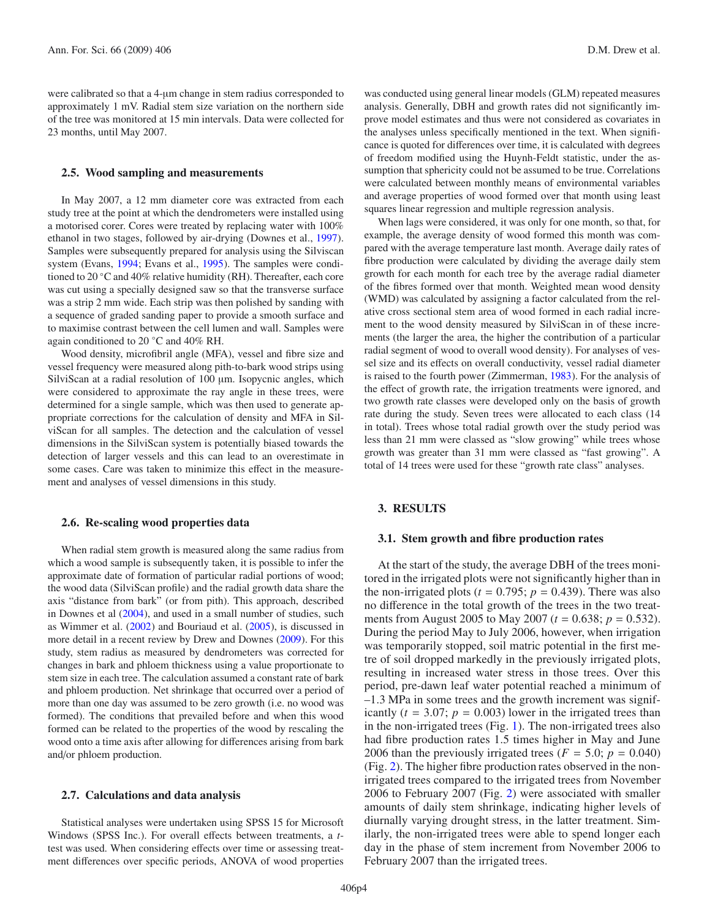were calibrated so that a 4-um change in stem radius corresponded to approximately 1 mV. Radial stem size variation on the northern side of the tree was monitored at 15 min intervals. Data were collected for 23 months, until May 2007.

#### **2.5. Wood sampling and measurements**

In May 2007, a 12 mm diameter core was extracted from each study tree at the point at which the dendrometers were installed using a motorised corer. Cores were treated by replacing water with 100% ethanol in two stages, followed by air-drying (Downes et al., [1997](#page-8-9)). Samples were subsequently prepared for analysis using the Silviscan system (Evans, [1994](#page-8-10); Evans et al., [1995](#page-8-11)). The samples were conditioned to 20 ◦C and 40% relative humidity (RH). Thereafter, each core was cut using a specially designed saw so that the transverse surface was a strip 2 mm wide. Each strip was then polished by sanding with a sequence of graded sanding paper to provide a smooth surface and to maximise contrast between the cell lumen and wall. Samples were again conditioned to 20 ◦C and 40% RH.

Wood density, microfibril angle (MFA), vessel and fibre size and vessel frequency were measured along pith-to-bark wood strips using SilviScan at a radial resolution of 100 µm. Isopycnic angles, which were considered to approximate the ray angle in these trees, were determined for a single sample, which was then used to generate appropriate corrections for the calculation of density and MFA in SilviScan for all samples. The detection and the calculation of vessel dimensions in the SilviScan system is potentially biased towards the detection of larger vessels and this can lead to an overestimate in some cases. Care was taken to minimize this effect in the measurement and analyses of vessel dimensions in this study.

#### **2.6. Re-scaling wood properties data**

When radial stem growth is measured along the same radius from which a wood sample is subsequently taken, it is possible to infer the approximate date of formation of particular radial portions of wood; the wood data (SilviScan profile) and the radial growth data share the axis "distance from bark" (or from pith). This approach, described in Downes et al [\(2004\)](#page-8-5), and used in a small number of studies, such as Wimmer et al. [\(2002](#page-9-3)) and Bouriaud et al. [\(2005](#page-8-4)), is discussed in more detail in a recent review by Drew and Downes [\(2009\)](#page-8-12). For this study, stem radius as measured by dendrometers was corrected for changes in bark and phloem thickness using a value proportionate to stem size in each tree. The calculation assumed a constant rate of bark and phloem production. Net shrinkage that occurred over a period of more than one day was assumed to be zero growth (i.e. no wood was formed). The conditions that prevailed before and when this wood formed can be related to the properties of the wood by rescaling the wood onto a time axis after allowing for differences arising from bark and/or phloem production.

#### **2.7. Calculations and data analysis**

Statistical analyses were undertaken using SPSS 15 for Microsoft Windows (SPSS Inc.). For overall effects between treatments, a *t*test was used. When considering effects over time or assessing treatment differences over specific periods, ANOVA of wood properties was conducted using general linear models (GLM) repeated measures analysis. Generally, DBH and growth rates did not significantly improve model estimates and thus were not considered as covariates in the analyses unless specifically mentioned in the text. When significance is quoted for differences over time, it is calculated with degrees of freedom modified using the Huynh-Feldt statistic, under the assumption that sphericity could not be assumed to be true. Correlations were calculated between monthly means of environmental variables and average properties of wood formed over that month using least squares linear regression and multiple regression analysis.

When lags were considered, it was only for one month, so that, for example, the average density of wood formed this month was compared with the average temperature last month. Average daily rates of fibre production were calculated by dividing the average daily stem growth for each month for each tree by the average radial diameter of the fibres formed over that month. Weighted mean wood density (WMD) was calculated by assigning a factor calculated from the relative cross sectional stem area of wood formed in each radial increment to the wood density measured by SilviScan in of these increments (the larger the area, the higher the contribution of a particular radial segment of wood to overall wood density). For analyses of vessel size and its effects on overall conductivity, vessel radial diameter is raised to the fourth power (Zimmerman, [1983](#page-9-8)). For the analysis of the effect of growth rate, the irrigation treatments were ignored, and two growth rate classes were developed only on the basis of growth rate during the study. Seven trees were allocated to each class (14 in total). Trees whose total radial growth over the study period was less than 21 mm were classed as "slow growing" while trees whose growth was greater than 31 mm were classed as "fast growing". A total of 14 trees were used for these "growth rate class" analyses.

#### **3. RESULTS**

#### **3.1. Stem growth and fibre production rates**

At the start of the study, the average DBH of the trees monitored in the irrigated plots were not significantly higher than in the non-irrigated plots ( $t = 0.795$ ;  $p = 0.439$ ). There was also no difference in the total growth of the trees in the two treatments from August 2005 to May 2007 (*t* = 0.638; *p* = 0.532). During the period May to July 2006, however, when irrigation was temporarily stopped, soil matric potential in the first metre of soil dropped markedly in the previously irrigated plots, resulting in increased water stress in those trees. Over this period, pre-dawn leaf water potential reached a minimum of –1.3 MPa in some trees and the growth increment was significantly  $(t = 3.07; p = 0.003)$  lower in the irrigated trees than in the non-irrigated trees (Fig. [1\)](#page-4-0). The non-irrigated trees also had fibre production rates 1.5 times higher in May and June 2006 than the previously irrigated trees ( $F = 5.0$ ;  $p = 0.040$ ) (Fig. [2\)](#page-5-0). The higher fibre production rates observed in the nonirrigated trees compared to the irrigated trees from November 2006 to February 2007 (Fig. [2\)](#page-5-0) were associated with smaller amounts of daily stem shrinkage, indicating higher levels of diurnally varying drought stress, in the latter treatment. Similarly, the non-irrigated trees were able to spend longer each day in the phase of stem increment from November 2006 to February 2007 than the irrigated trees.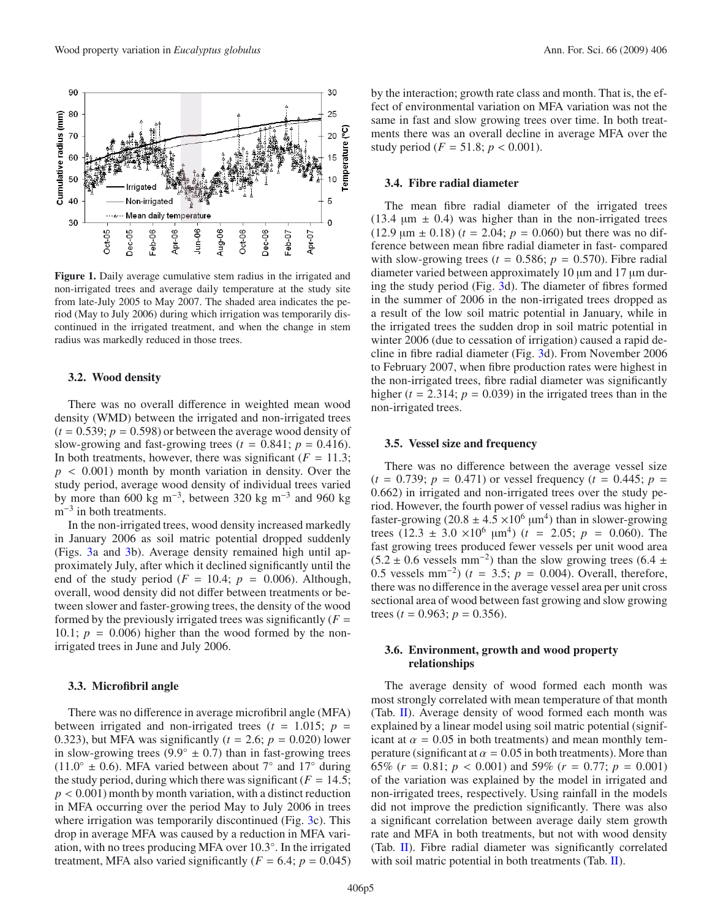<span id="page-4-0"></span>

Figure 1. Daily average cumulative stem radius in the irrigated and non-irrigated trees and average daily temperature at the study site from late-July 2005 to May 2007. The shaded area indicates the period (May to July 2006) during which irrigation was temporarily discontinued in the irrigated treatment, and when the change in stem radius was markedly reduced in those trees.

#### **3.2. Wood density**

There was no overall difference in weighted mean wood density (WMD) between the irrigated and non-irrigated trees  $(t = 0.539; p = 0.598)$  or between the average wood density of slow-growing and fast-growing trees ( $t = 0.841$ ;  $p = 0.416$ ). In both treatments, however, there was significant  $(F = 11.3$ ;  $p < 0.001$ ) month by month variation in density. Over the study period, average wood density of individual trees varied by more than 600 kg m<sup>-3</sup>, between 320 kg m<sup>-3</sup> and 960 kg m<sup>-3</sup> in both treatments.

In the non-irrigated trees, wood density increased markedly in January 2006 as soil matric potential dropped suddenly (Figs. [3a](#page-6-0) and [3b](#page-6-0)). Average density remained high until approximately July, after which it declined significantly until the end of the study period ( $F = 10.4$ ;  $p = 0.006$ ). Although, overall, wood density did not differ between treatments or between slower and faster-growing trees, the density of the wood formed by the previously irrigated trees was significantly  $(F =$ 10.1;  $p = 0.006$ ) higher than the wood formed by the nonirrigated trees in June and July 2006.

#### **3.3. Microfibril angle**

There was no difference in average microfibril angle (MFA) between irrigated and non-irrigated trees  $(t = 1.015; p =$ 0.323), but MFA was significantly  $(t = 2.6; p = 0.020)$  lower in slow-growing trees ( $9.9° \pm 0.7$ ) than in fast-growing trees  $(11.0° \pm 0.6)$ . MFA varied between about 7° and 17° during the study period, during which there was significant  $(F = 14.5)$ ;  $p < 0.001$ ) month by month variation, with a distinct reduction in MFA occurring over the period May to July 2006 in trees where irrigation was temporarily discontinued (Fig. [3c](#page-6-0)). This drop in average MFA was caused by a reduction in MFA variation, with no trees producing MFA over 10.3◦. In the irrigated treatment, MFA also varied significantly  $(F = 6.4; p = 0.045)$ 

by the interaction; growth rate class and month. That is, the effect of environmental variation on MFA variation was not the same in fast and slow growing trees over time. In both treatments there was an overall decline in average MFA over the study period ( $F = 51.8$ ;  $p < 0.001$ ).

#### **3.4. Fibre radial diameter**

The mean fibre radial diameter of the irrigated trees (13.4  $\mu$ m  $\pm$  0.4) was higher than in the non-irrigated trees  $(12.9 \text{ µm} \pm 0.18)$   $(t = 2.04; p = 0.060)$  but there was no difference between mean fibre radial diameter in fast- compared with slow-growing trees ( $t = 0.586$ ;  $p = 0.570$ ). Fibre radial diameter varied between approximately 10  $\mu$ m and 17  $\mu$ m during the study period (Fig. [3d](#page-6-0)). The diameter of fibres formed in the summer of 2006 in the non-irrigated trees dropped as a result of the low soil matric potential in January, while in the irrigated trees the sudden drop in soil matric potential in winter 2006 (due to cessation of irrigation) caused a rapid decline in fibre radial diameter (Fig. [3d](#page-6-0)). From November 2006 to February 2007, when fibre production rates were highest in the non-irrigated trees, fibre radial diameter was significantly higher ( $t = 2.314$ ;  $p = 0.039$ ) in the irrigated trees than in the non-irrigated trees.

#### **3.5. Vessel size and frequency**

There was no difference between the average vessel size  $(t = 0.739; p = 0.471)$  or vessel frequency  $(t = 0.445; p = 0.493)$ 0.662) in irrigated and non-irrigated trees over the study period. However, the fourth power of vessel radius was higher in faster-growing  $(20.8 \pm 4.5 \times 10^6 \text{ µm}^4)$  than in slower-growing trees  $(12.3 \pm 3.0 \times 10^6 \text{ µm}^4)$   $(t = 2.05; p = 0.060)$ . The fast growing trees produced fewer vessels per unit wood area  $(5.2 \pm 0.6$  vessels mm<sup>-2</sup>) than the slow growing trees (6.4  $\pm$ 0.5 vessels mm−2) (*t* = 3.5; *p* = 0.004). Overall, therefore, there was no difference in the average vessel area per unit cross sectional area of wood between fast growing and slow growing trees ( $t = 0.963$ ;  $p = 0.356$ ).

#### **3.6. Environment, growth and wood property relationships**

The average density of wood formed each month was most strongly correlated with mean temperature of that month (Tab. [II\)](#page-7-0). Average density of wood formed each month was explained by a linear model using soil matric potential (significant at  $\alpha = 0.05$  in both treatments) and mean monthly temperature (significant at  $\alpha = 0.05$  in both treatments). More than 65%  $(r = 0.81; p < 0.001)$  and 59%  $(r = 0.77; p = 0.001)$ of the variation was explained by the model in irrigated and non-irrigated trees, respectively. Using rainfall in the models did not improve the prediction significantly. There was also a significant correlation between average daily stem growth rate and MFA in both treatments, but not with wood density (Tab. [II\)](#page-7-0). Fibre radial diameter was significantly correlated with soil matric potential in both treatments (Tab. [II\)](#page-7-0).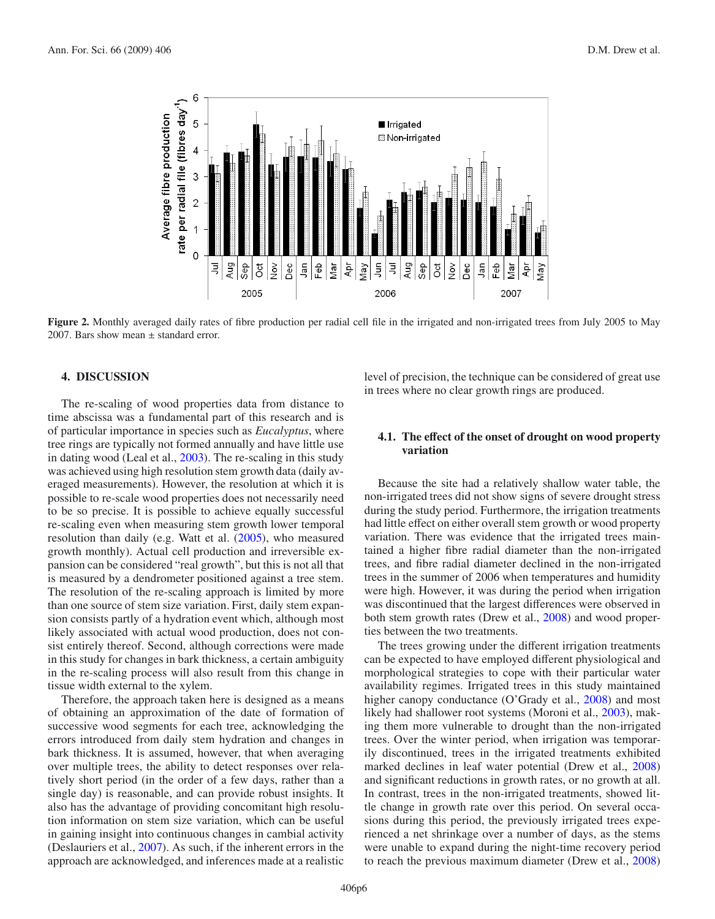<span id="page-5-0"></span>

**Figure 2.** Monthly averaged daily rates of fibre production per radial cell file in the irrigated and non-irrigated trees from July 2005 to May 2007. Bars show mean  $\pm$  standard error.

## **4. DISCUSSION**

The re-scaling of wood properties data from distance to time abscissa was a fundamental part of this research and is of particular importance in species such as *Eucalyptus*, where tree rings are typically not formed annually and have little use in dating wood (Leal et al., [2003\)](#page-8-7). The re-scaling in this study was achieved using high resolution stem growth data (daily averaged measurements). However, the resolution at which it is possible to re-scale wood properties does not necessarily need to be so precise. It is possible to achieve equally successful re-scaling even when measuring stem growth lower temporal resolution than daily (e.g. Watt et al. [\(2005](#page-9-9)), who measured growth monthly). Actual cell production and irreversible expansion can be considered "real growth", but this is not all that is measured by a dendrometer positioned against a tree stem. The resolution of the re-scaling approach is limited by more than one source of stem size variation. First, daily stem expansion consists partly of a hydration event which, although most likely associated with actual wood production, does not consist entirely thereof. Second, although corrections were made in this study for changes in bark thickness, a certain ambiguity in the re-scaling process will also result from this change in tissue width external to the xylem.

Therefore, the approach taken here is designed as a means of obtaining an approximation of the date of formation of successive wood segments for each tree, acknowledging the errors introduced from daily stem hydration and changes in bark thickness. It is assumed, however, that when averaging over multiple trees, the ability to detect responses over relatively short period (in the order of a few days, rather than a single day) is reasonable, and can provide robust insights. It also has the advantage of providing concomitant high resolution information on stem size variation, which can be useful in gaining insight into continuous changes in cambial activity (Deslauriers et al., [2007](#page-8-13)). As such, if the inherent errors in the approach are acknowledged, and inferences made at a realistic

level of precision, the technique can be considered of great use in trees where no clear growth rings are produced.

## **4.1. The e**ff**ect of the onset of drought on wood property variation**

Because the site had a relatively shallow water table, the non-irrigated trees did not show signs of severe drought stress during the study period. Furthermore, the irrigation treatments had little effect on either overall stem growth or wood property variation. There was evidence that the irrigated trees maintained a higher fibre radial diameter than the non-irrigated trees, and fibre radial diameter declined in the non-irrigated trees in the summer of 2006 when temperatures and humidity were high. However, it was during the period when irrigation was discontinued that the largest differences were observed in both stem growth rates (Drew et al., [2008](#page-8-0)) and wood properties between the two treatments.

The trees growing under the different irrigation treatments can be expected to have employed different physiological and morphological strategies to cope with their particular water availability regimes. Irrigated trees in this study maintained higher canopy conductance (O'Grady et al., [2008\)](#page-9-0) and most likely had shallower root systems (Moroni et al., [2003\)](#page-9-10), making them more vulnerable to drought than the non-irrigated trees. Over the winter period, when irrigation was temporarily discontinued, trees in the irrigated treatments exhibited marked declines in leaf water potential (Drew et al., [2008\)](#page-8-0) and significant reductions in growth rates, or no growth at all. In contrast, trees in the non-irrigated treatments, showed little change in growth rate over this period. On several occasions during this period, the previously irrigated trees experienced a net shrinkage over a number of days, as the stems were unable to expand during the night-time recovery period to reach the previous maximum diameter (Drew et al., [2008\)](#page-8-0)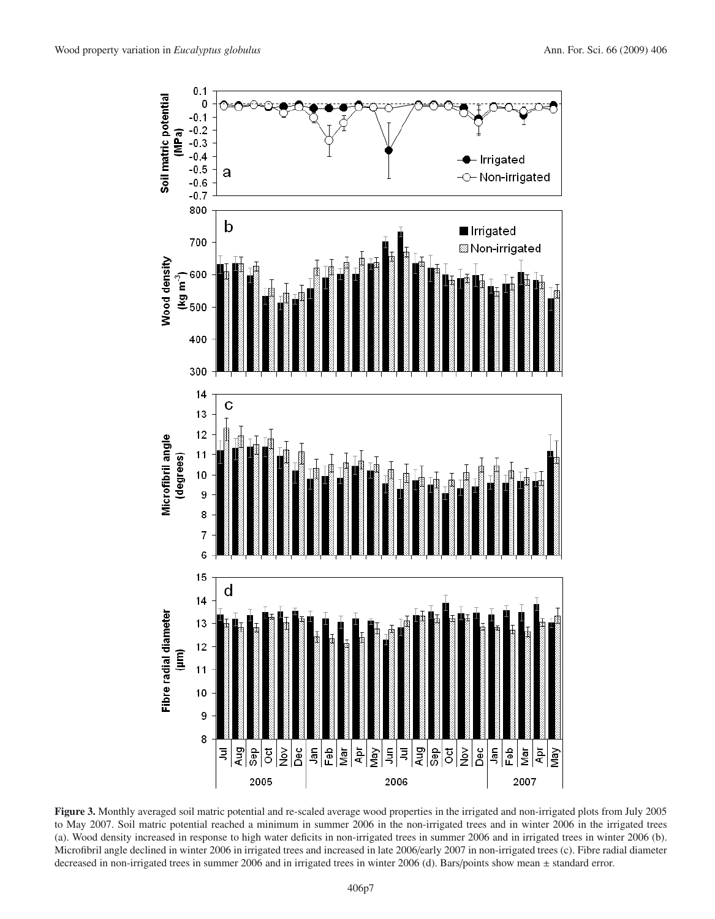

<span id="page-6-0"></span>**Figure 3.** Monthly averaged soil matric potential and re-scaled average wood properties in the irrigated and non-irrigated plots from July 2005 to May 2007. Soil matric potential reached a minimum in summer 2006 in the non-irrigated trees and in winter 2006 in the irrigated trees (a). Wood density increased in response to high water deficits in non-irrigated trees in summer 2006 and in irrigated trees in winter 2006 (b). Microfibril angle declined in winter 2006 in irrigated trees and increased in late 2006/early 2007 in non-irrigated trees (c). Fibre radial diameter decreased in non-irrigated trees in summer 2006 and in irrigated trees in winter 2006 (d). Bars/points show mean ± standard error.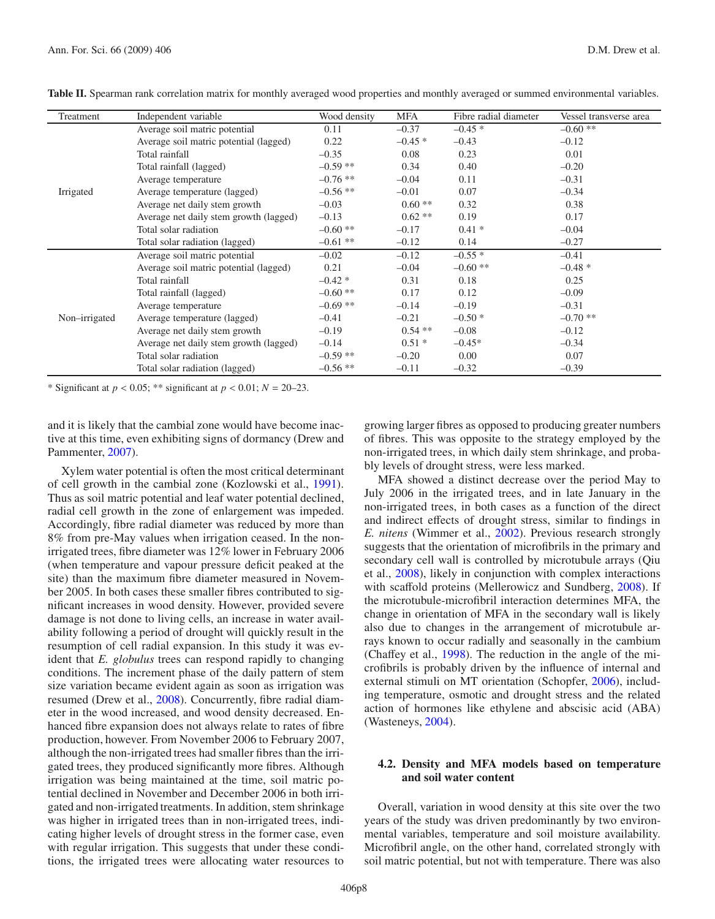| Treatment     | Independent variable                   | Wood density | <b>MFA</b> | Fibre radial diameter | Vessel transverse area |
|---------------|----------------------------------------|--------------|------------|-----------------------|------------------------|
|               | Average soil matric potential          | 0.11         | $-0.37$    | $-0.45*$              | $-0.60$ **             |
| Irrigated     | Average soil matric potential (lagged) | 0.22         | $-0.45*$   | $-0.43$               | $-0.12$                |
|               | Total rainfall                         | $-0.35$      | 0.08       | 0.23                  | 0.01                   |
|               | Total rainfall (lagged)                | $-0.59$ **   | 0.34       | 0.40                  | $-0.20$                |
|               | Average temperature                    | $-0.76$ **   | $-0.04$    | 0.11                  | $-0.31$                |
|               | Average temperature (lagged)           | $-0.56$ **   | $-0.01$    | 0.07                  | $-0.34$                |
|               | Average net daily stem growth          | $-0.03$      | $0.60**$   | 0.32                  | 0.38                   |
|               | Average net daily stem growth (lagged) | $-0.13$      | $0.62**$   | 0.19                  | 0.17                   |
|               | Total solar radiation                  | $-0.60**$    | $-0.17$    | $0.41*$               | $-0.04$                |
|               | Total solar radiation (lagged)         | $-0.61**$    | $-0.12$    | 0.14                  | $-0.27$                |
|               | Average soil matric potential          | $-0.02$      | $-0.12$    | $-0.55*$              | $-0.41$                |
| Non-irrigated | Average soil matric potential (lagged) | 0.21         | $-0.04$    | $-0.60**$             | $-0.48*$               |
|               | Total rainfall                         | $-0.42*$     | 0.31       | 0.18                  | 0.25                   |
|               | Total rainfall (lagged)                | $-0.60**$    | 0.17       | 0.12                  | $-0.09$                |
|               | Average temperature                    | $-0.69$ **   | $-0.14$    | $-0.19$               | $-0.31$                |
|               | Average temperature (lagged)           | $-0.41$      | $-0.21$    | $-0.50*$              | $-0.70$ **             |
|               | Average net daily stem growth          | $-0.19$      | $0.54**$   | $-0.08$               | $-0.12$                |
|               | Average net daily stem growth (lagged) | $-0.14$      | $0.51*$    | $-0.45*$              | $-0.34$                |
|               | Total solar radiation                  | $-0.59**$    | $-0.20$    | 0.00                  | 0.07                   |
|               | Total solar radiation (lagged)         | $-0.56$ **   | $-0.11$    | $-0.32$               | $-0.39$                |

<span id="page-7-0"></span>Table II. Spearman rank correlation matrix for monthly averaged wood properties and monthly averaged or summed environmental variables.

\* Significant at  $p < 0.05$ ; \*\* significant at  $p < 0.01$ ;  $N = 20-23$ .

and it is likely that the cambial zone would have become inactive at this time, even exhibiting signs of dormancy (Drew and Pammenter, [2007\)](#page-8-6).

Xylem water potential is often the most critical determinant of cell growth in the cambial zone (Kozlowski et al., [1991\)](#page-8-14). Thus as soil matric potential and leaf water potential declined, radial cell growth in the zone of enlargement was impeded. Accordingly, fibre radial diameter was reduced by more than 8% from pre-May values when irrigation ceased. In the nonirrigated trees, fibre diameter was 12% lower in February 2006 (when temperature and vapour pressure deficit peaked at the site) than the maximum fibre diameter measured in November 2005. In both cases these smaller fibres contributed to significant increases in wood density. However, provided severe damage is not done to living cells, an increase in water availability following a period of drought will quickly result in the resumption of cell radial expansion. In this study it was evident that *E. globulus* trees can respond rapidly to changing conditions. The increment phase of the daily pattern of stem size variation became evident again as soon as irrigation was resumed (Drew et al., [2008\)](#page-8-0). Concurrently, fibre radial diameter in the wood increased, and wood density decreased. Enhanced fibre expansion does not always relate to rates of fibre production, however. From November 2006 to February 2007, although the non-irrigated trees had smaller fibres than the irrigated trees, they produced significantly more fibres. Although irrigation was being maintained at the time, soil matric potential declined in November and December 2006 in both irrigated and non-irrigated treatments. In addition, stem shrinkage was higher in irrigated trees than in non-irrigated trees, indicating higher levels of drought stress in the former case, even with regular irrigation. This suggests that under these conditions, the irrigated trees were allocating water resources to

growing larger fibres as opposed to producing greater numbers of fibres. This was opposite to the strategy employed by the non-irrigated trees, in which daily stem shrinkage, and probably levels of drought stress, were less marked.

MFA showed a distinct decrease over the period May to July 2006 in the irrigated trees, and in late January in the non-irrigated trees, in both cases as a function of the direct and indirect effects of drought stress, similar to findings in *E. nitens* (Wimmer et al., [2002\)](#page-9-3). Previous research strongly suggests that the orientation of microfibrils in the primary and secondary cell wall is controlled by microtubule arrays (Qiu et al., [2008](#page-9-11)), likely in conjunction with complex interactions with scaffold proteins (Mellerowicz and Sundberg, [2008](#page-9-12)). If the microtubule-microfibril interaction determines MFA, the change in orientation of MFA in the secondary wall is likely also due to changes in the arrangement of microtubule arrays known to occur radially and seasonally in the cambium (Chaffey et al., [1998\)](#page-8-15). The reduction in the angle of the microfibrils is probably driven by the influence of internal and external stimuli on MT orientation (Schopfer, [2006\)](#page-9-13), including temperature, osmotic and drought stress and the related action of hormones like ethylene and abscisic acid (ABA) (Wasteneys, [2004\)](#page-9-14).

## **4.2. Density and MFA models based on temperature and soil water content**

Overall, variation in wood density at this site over the two years of the study was driven predominantly by two environmental variables, temperature and soil moisture availability. Microfibril angle, on the other hand, correlated strongly with soil matric potential, but not with temperature. There was also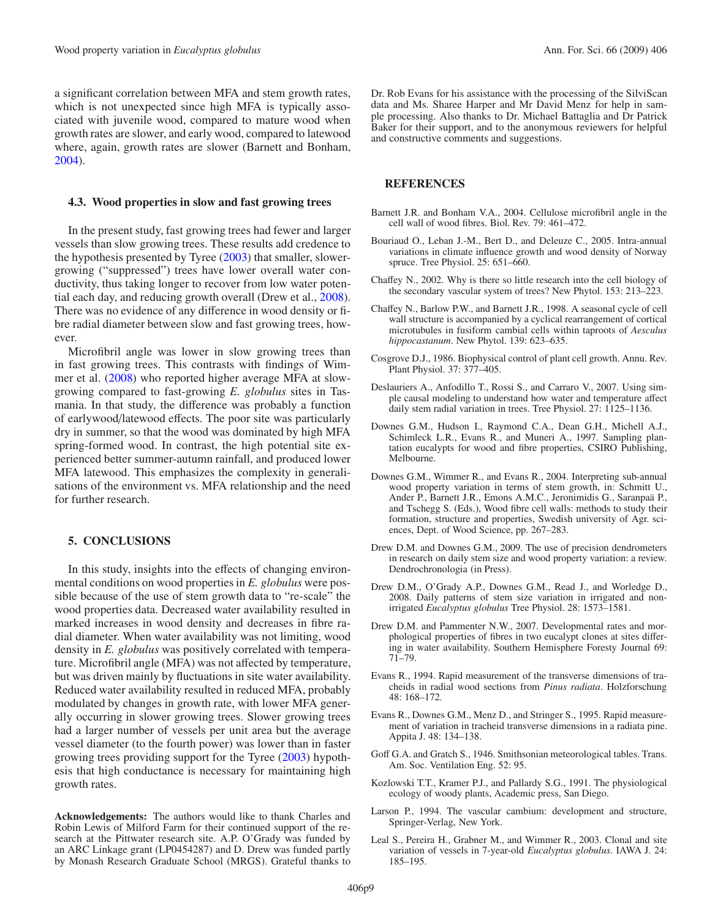a significant correlation between MFA and stem growth rates, which is not unexpected since high MFA is typically associated with juvenile wood, compared to mature wood when growth rates are slower, and early wood, compared to latewood where, again, growth rates are slower (Barnett and Bonham, [2004\)](#page-8-16).

## **4.3. Wood properties in slow and fast growing trees**

In the present study, fast growing trees had fewer and larger vessels than slow growing trees. These results add credence to the hypothesis presented by Tyree [\(2003\)](#page-9-15) that smaller, slowergrowing ("suppressed") trees have lower overall water conductivity, thus taking longer to recover from low water potential each day, and reducing growth overall (Drew et al., [2008](#page-8-0)). There was no evidence of any difference in wood density or fibre radial diameter between slow and fast growing trees, however.

Microfibril angle was lower in slow growing trees than in fast growing trees. This contrasts with findings of Wimmer et al. [\(2008\)](#page-9-16) who reported higher average MFA at slowgrowing compared to fast-growing *E. globulus* sites in Tasmania. In that study, the difference was probably a function of earlywood/latewood effects. The poor site was particularly dry in summer, so that the wood was dominated by high MFA spring-formed wood. In contrast, the high potential site experienced better summer-autumn rainfall, and produced lower MFA latewood. This emphasizes the complexity in generalisations of the environment vs. MFA relationship and the need for further research.

## **5. CONCLUSIONS**

In this study, insights into the effects of changing environmental conditions on wood properties in *E. globulus* were possible because of the use of stem growth data to "re-scale" the wood properties data. Decreased water availability resulted in marked increases in wood density and decreases in fibre radial diameter. When water availability was not limiting, wood density in *E. globulus* was positively correlated with temperature. Microfibril angle (MFA) was not affected by temperature, but was driven mainly by fluctuations in site water availability. Reduced water availability resulted in reduced MFA, probably modulated by changes in growth rate, with lower MFA generally occurring in slower growing trees. Slower growing trees had a larger number of vessels per unit area but the average vessel diameter (to the fourth power) was lower than in faster growing trees providing support for the Tyree [\(2003\)](#page-9-15) hypothesis that high conductance is necessary for maintaining high growth rates.

**Acknowledgements:** The authors would like to thank Charles and Robin Lewis of Milford Farm for their continued support of the research at the Pittwater research site. A.P. O'Grady was funded by an ARC Linkage grant (LP0454287) and D. Drew was funded partly by Monash Research Graduate School (MRGS). Grateful thanks to Dr. Rob Evans for his assistance with the processing of the SilviScan data and Ms. Sharee Harper and Mr David Menz for help in sample processing. Also thanks to Dr. Michael Battaglia and Dr Patrick Baker for their support, and to the anonymous reviewers for helpful and constructive comments and suggestions.

## **REFERENCES**

- <span id="page-8-16"></span>Barnett J.R. and Bonham V.A., 2004. Cellulose microfibril angle in the cell wall of wood fibres. Biol. Rev. 79: 461–472.
- <span id="page-8-4"></span>Bouriaud O., Leban J.-M., Bert D., and Deleuze C., 2005. Intra-annual variations in climate influence growth and wood density of Norway spruce. Tree Physiol. 25: 651–660.
- <span id="page-8-2"></span>Chaffey N., 2002. Why is there so little research into the cell biology of the secondary vascular system of trees? New Phytol. 153: 213–223.
- <span id="page-8-15"></span>Chaffey N., Barlow P.W., and Barnett J.R., 1998. A seasonal cycle of cell wall structure is accompanied by a cyclical rearrangement of cortical microtubules in fusiform cambial cells within taproots of *Aesculus hippocastanum*. New Phytol. 139: 623–635.
- <span id="page-8-3"></span>Cosgrove D.J., 1986. Biophysical control of plant cell growth. Annu. Rev. Plant Physiol. 37: 377–405.
- <span id="page-8-13"></span>Deslauriers A., Anfodillo T., Rossi S., and Carraro V., 2007. Using simple causal modeling to understand how water and temperature affect daily stem radial variation in trees. Tree Physiol. 27: 1125–1136.
- <span id="page-8-9"></span>Downes G.M., Hudson I., Raymond C.A., Dean G.H., Michell A.J., Schimleck L.R., Evans R., and Muneri A., 1997. Sampling plantation eucalypts for wood and fibre properties, CSIRO Publishing, Melbourne.
- <span id="page-8-5"></span>Downes G.M., Wimmer R., and Evans R., 2004. Interpreting sub-annual wood property variation in terms of stem growth, in: Schmitt U., Ander P., Barnett J.R., Emons A.M.C., Jeronimidis G., Saranpaä P., and Tschegg S. (Eds.), Wood fibre cell walls: methods to study their formation, structure and properties, Swedish university of Agr. sciences, Dept. of Wood Science, pp. 267–283.
- <span id="page-8-12"></span>Drew D.M. and Downes G.M., 2009. The use of precision dendrometers in research on daily stem size and wood property variation: a review. Dendrochronologia (in Press).
- <span id="page-8-0"></span>Drew D.M., O'Grady A.P., Downes G.M., Read J., and Worledge D., 2008. Daily patterns of stem size variation in irrigated and nonirrigated *Eucalyptus globulus* Tree Physiol. 28: 1573–1581.
- <span id="page-8-6"></span>Drew D.M. and Pammenter N.W., 2007. Developmental rates and morphological properties of fibres in two eucalypt clones at sites differing in water availability. Southern Hemisphere Foresty Journal 69: 71–79.
- <span id="page-8-10"></span>Evans R., 1994. Rapid measurement of the transverse dimensions of tracheids in radial wood sections from *Pinus radiata*. Holzforschung 48: 168–172.
- <span id="page-8-11"></span>Evans R., Downes G.M., Menz D., and Stringer S., 1995. Rapid measurement of variation in tracheid transverse dimensions in a radiata pine. Appita J. 48: 134–138.
- <span id="page-8-8"></span>Goff G.A. and Gratch S., 1946. Smithsonian meteorological tables. Trans. Am. Soc. Ventilation Eng. 52: 95.
- <span id="page-8-14"></span>Kozlowski T.T., Kramer P.J., and Pallardy S.G., 1991. The physiological ecology of woody plants, Academic press, San Diego.
- <span id="page-8-1"></span>Larson P., 1994. The vascular cambium: development and structure, Springer-Verlag, New York.
- <span id="page-8-7"></span>Leal S., Pereira H., Grabner M., and Wimmer R., 2003. Clonal and site variation of vessels in 7-year-old *Eucalyptus globulus*. IAWA J. 24: 185–195.